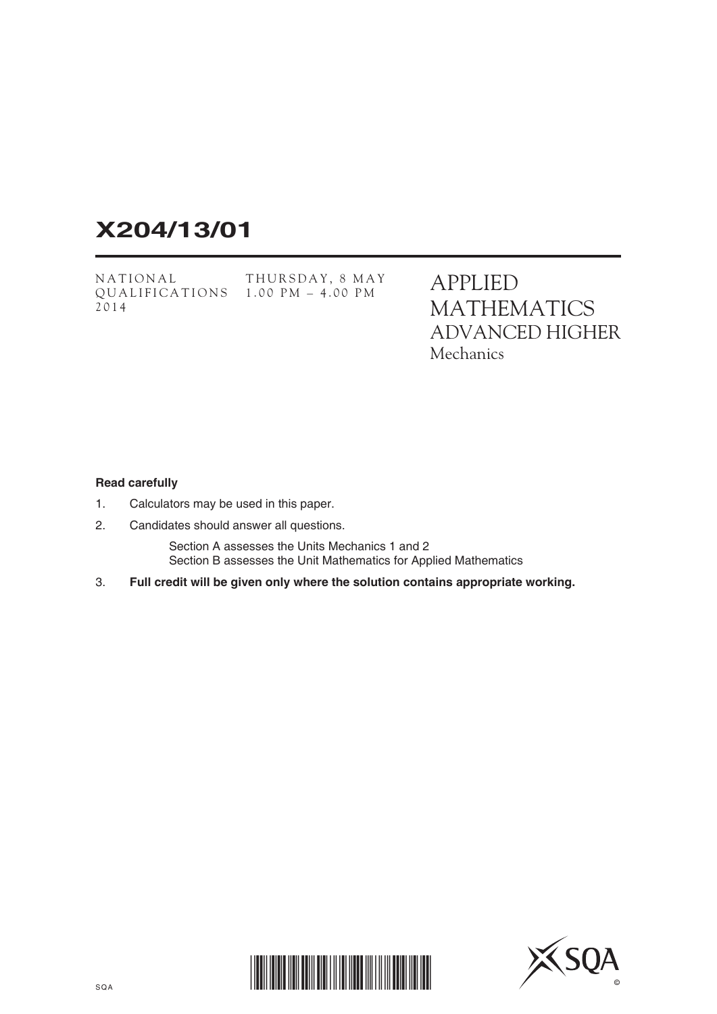# **X204/13/01**

NATIONAL QUALIFICATIONS 1.00 PM – 4.00 PM2014 THURSDAY, 8 MAY APPLIED MATHEMATICS ADVANCED HIGHER **Mechanics** 

#### **Read carefully**

- 1. Calculators may be used in this paper.
- 2. Candidates should answer all questions.

 Section A assesses the Units Mechanics 1 and 2 Section B assesses the Unit Mathematics for Applied Mathematics

3. **Full credit will be given only where the solution contains appropriate working.**



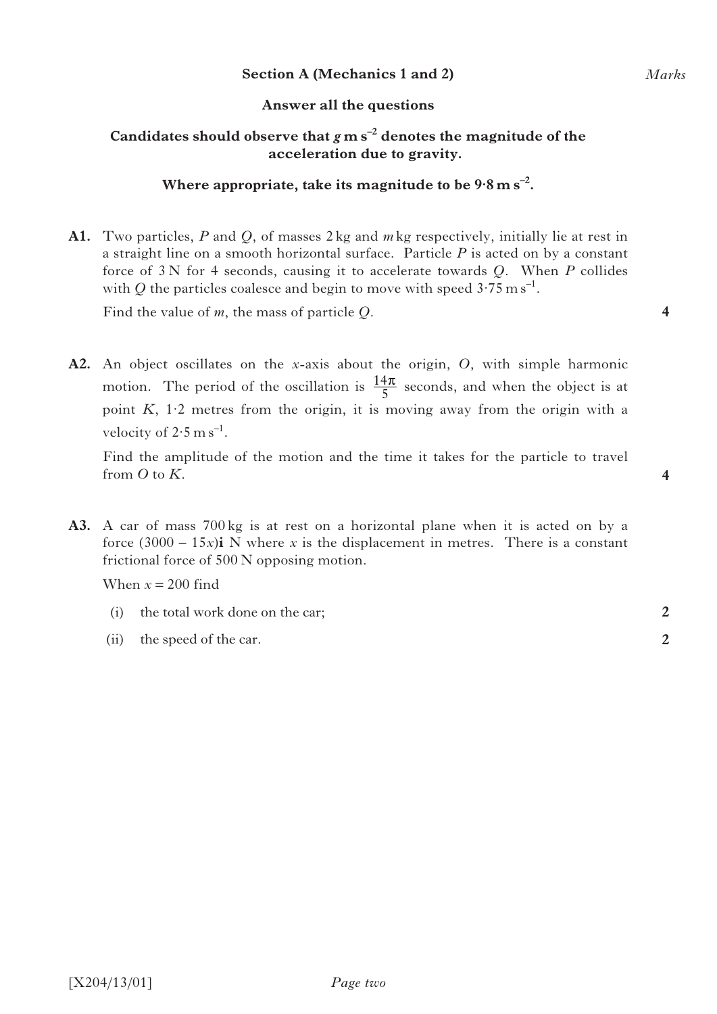### **Section A (Mechanics 1 and 2)**

### **Answer all the questions**

# Candidates should observe that  $g$  m s<sup>-2</sup> denotes the magnitude of the **acceleration due to gravity.**

## **Where appropriate, take its magnitude to be 9·8ms–2.**

**A1.** Two particles, *P* and *Q*, of masses 2 kg and *m* kg respectively, initially lie at rest in a straight line on a smooth horizontal surface. Particle *P* is acted on by a constant force of 3 N for 4 seconds, causing it to accelerate towards *Q*. When *P* collides with *Q* the particles coalesce and begin to move with speed  $3.75 \text{ m s}^{-1}$ .

Find the value of *m*, the mass of particle *Q*.

**A2.** An object oscillates on the *x*-axis about the origin, *O*, with simple harmonic motion. The period of the oscillation is  $\frac{14\pi}{5}$  seconds, and when the object is at point *K*, 1·2 metres from the origin, it is moving away from the origin with a velocity of  $2.5 \text{ m s}^{-1}$ . 5 π

 Find the amplitude of the motion and the time it takes for the particle to travel from *O* to *K*.

**A3.** A car of mass 700 kg is at rest on a horizontal plane when it is acted on by a force  $(3000 - 15x)$ **i** N where *x* is the displacement in metres. There is a constant frictional force of 500 N opposing motion.

When  $x = 200$  find

- (i) the total work done on the car;
- (ii) the speed of the car.

**4**

**4**

**2**

**2**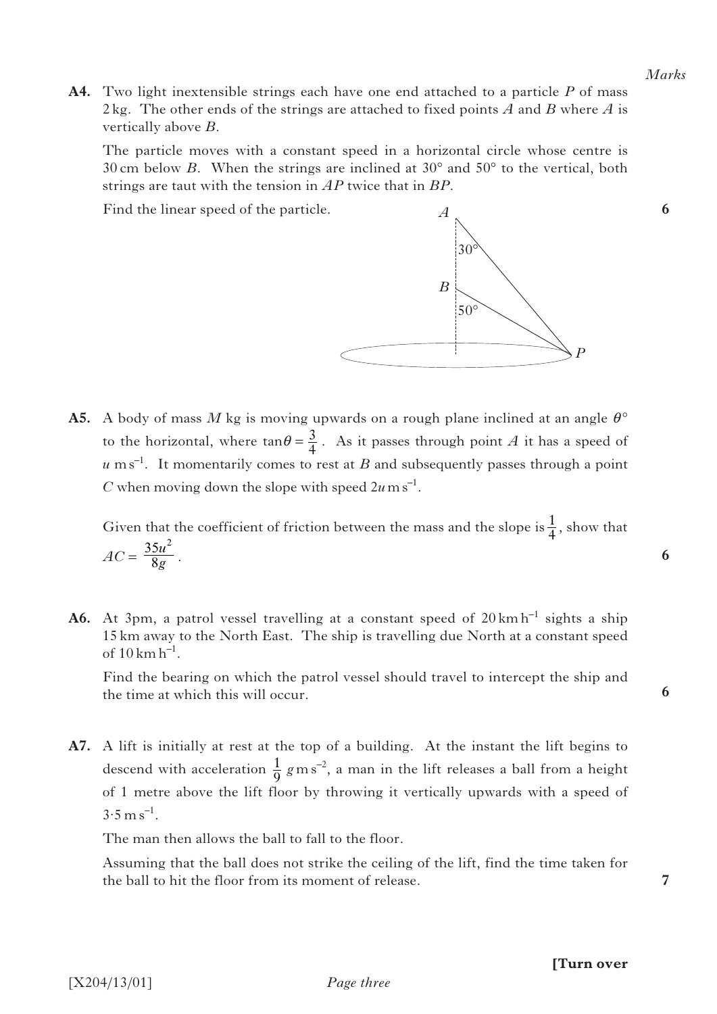**6**

*P*

**A4.** Two light inextensible strings each have one end attached to a particle *P* of mass 2 kg. The other ends of the strings are attached to fixed points *A* and *B* where *A* is vertically above *B*.

 The particle moves with a constant speed in a horizontal circle whose centre is 30 cm below *B*. When the strings are inclined at  $30^{\circ}$  and  $50^{\circ}$  to the vertical, both strings are taut with the tension in *AP* twice that in *BP*.

*A*

*B*

 $30^\circ$ 

50°

Find the linear speed of the particle.



Given that the coefficient of friction between the mass and the slope is  $\frac{1}{4}$ , show that  $AC = \frac{35u^2}{8a}$ . 4 8  $u^2$ *g*

**A6.** At 3pm, a patrol vessel travelling at a constant speed of  $20 \text{ km h}^{-1}$  sights a ship 15 km away to the North East. The ship is travelling due North at a constant speed of  $10 \,\mathrm{km} \,\mathrm{h}^{-1}$ .

 Find the bearing on which the patrol vessel should travel to intercept the ship and the time at which this will occur.

**A7.** A lift is initially at rest at the top of a building. At the instant the lift begins to descend with acceleration  $\frac{1}{9}$  g m s<sup>-2</sup>, a man in the lift releases a ball from a height of 1 metre above the lift floor by throwing it vertically upwards with a speed of  $3.5 \text{ m s}^{-1}$ . 9

The man then allows the ball to fall to the floor.

 Assuming that the ball does not strike the ceiling of the lift, find the time taken for the ball to hit the floor from its moment of release.

**7**

**6**

**6**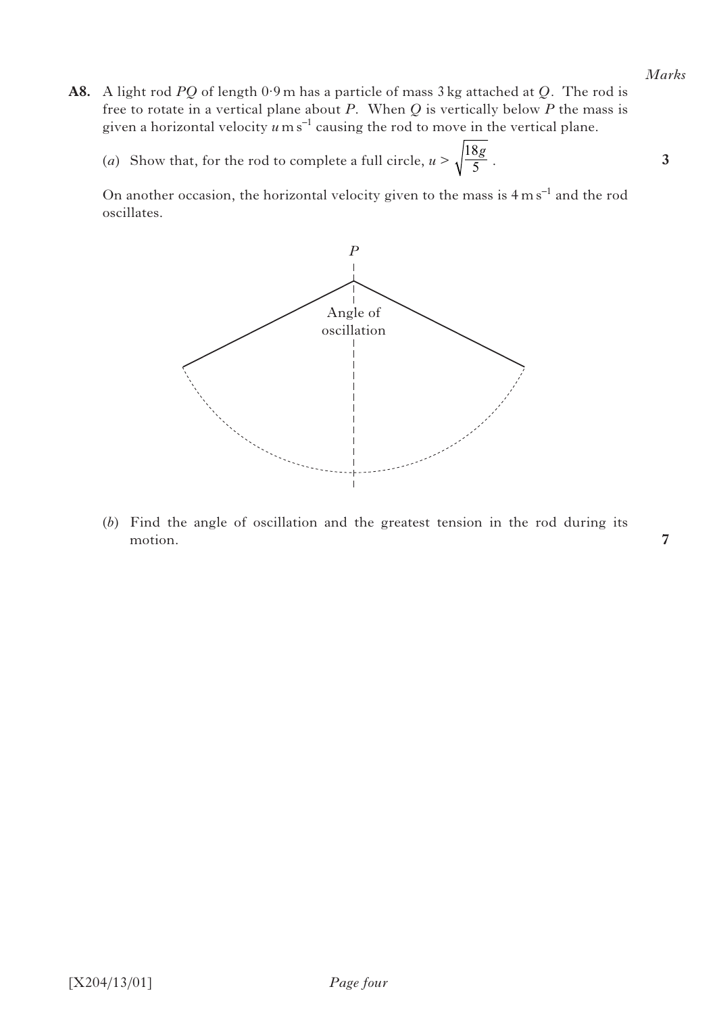#### *Marks*

**3**

**7**

- **A8.** A light rod *PQ* of length 0·9 m has a particle of mass 3 kg attached at *Q.* The rod is free to rotate in a vertical plane about *P*. When *Q* is vertically below *P* the mass is given a horizontal velocity  $u$  m s<sup>-1</sup> causing the rod to move in the vertical plane.
- (*a*) Show that, for the rod to complete a full circle,  $u > \sqrt{\frac{8}{5}}$ . 18 5 *g*

On another occasion, the horizontal velocity given to the mass is  $4 \text{ m s}^{-1}$  and the rod oscillates.



 (*b*) Find the angle of oscillation and the greatest tension in the rod during its motion.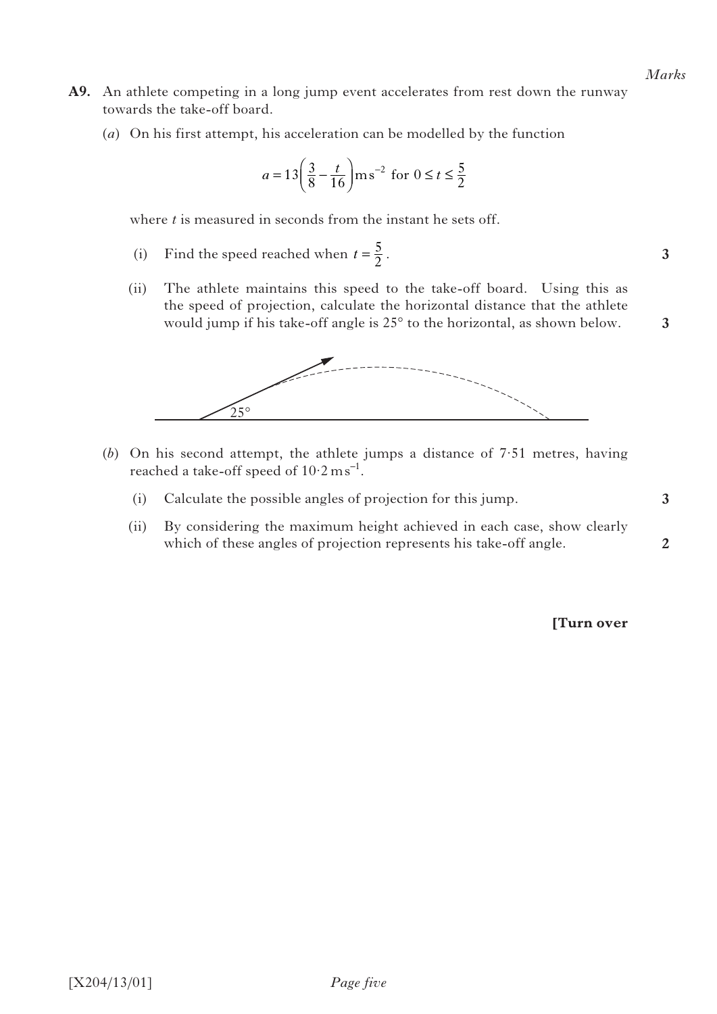- **A9.** An athlete competing in a long jump event accelerates from rest down the runway towards the take-off board.
	- (*a*) On his first attempt, his acceleration can be modelled by the function

$$
a = 13\left(\frac{3}{8} - \frac{t}{16}\right) \text{ms}^{-2} \text{ for } 0 \le t \le \frac{5}{2}
$$

where *t* is measured in seconds from the instant he sets off.

- (i) Find the speed reached when  $t = \frac{5}{2}$ .
	- (ii) The athlete maintains this speed to the take-off board. Using this as the speed of projection, calculate the horizontal distance that the athlete would jump if his take-off angle is 25° to the horizontal, as shown below.



- (*b*) On his second attempt, the athlete jumps a distance of 7·51 metres, having reached a take-off speed of  $10.2 \text{ ms}^{-1}$ .
	- (i) Calculate the possible angles of projection for this jump.
	- (ii) By considering the maximum height achieved in each case, show clearly which of these angles of projection represents his take-off angle.

**[Turn over** 

**3**

**3**

**3**

**2**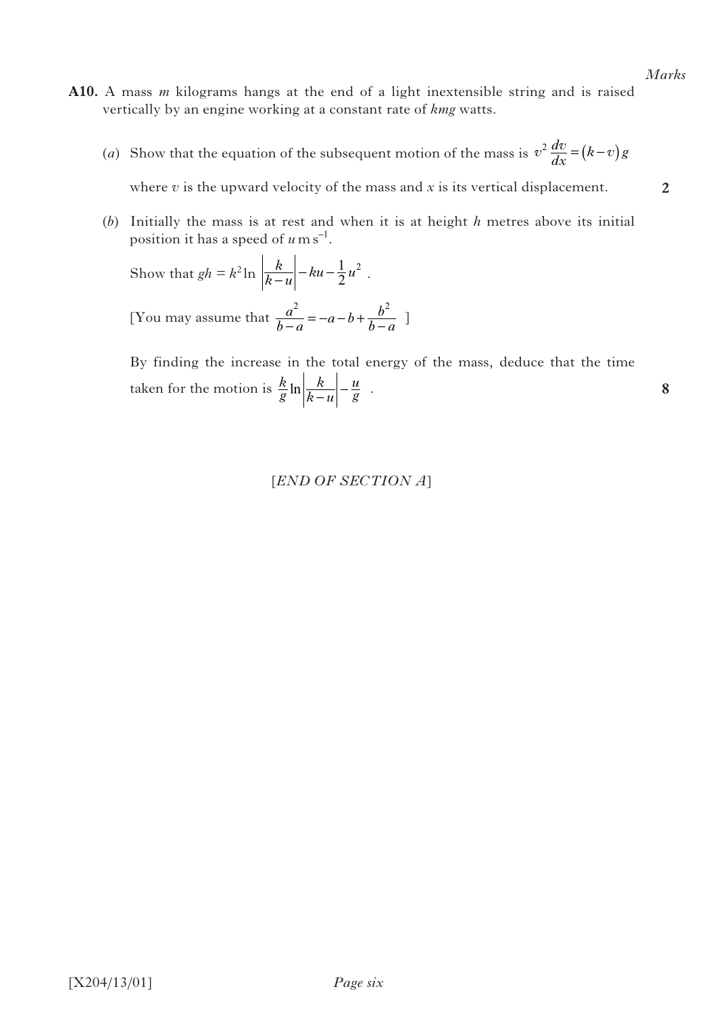**2**

**8**

- **A10.** A mass *m* kilograms hangs at the end of a light inextensible string and is raised vertically by an engine working at a constant rate of *kmg* watts.
- (*a*) Show that the equation of the subsequent motion of the mass is  $v^2 \frac{dv}{dx} = (k-v)g$

where  $v$  is the upward velocity of the mass and  $x$  is its vertical displacement.

 (*b*) Initially the mass is at rest and when it is at height *h* metres above its initial position it has a speed of  $u \text{ m s}^{-1}$ .

Show that 
$$
gh = k^2 \ln \left| \frac{k}{k-u} \right| - ku - \frac{1}{2}u^2
$$
.

[You may assume that  $\frac{a^2}{b-a} = -a - b + \frac{b^2}{b-a}$  $\frac{a^2}{-a} = -a - b + \frac{b^2}{b - a}$ ]

> By finding the increase in the total energy of the mass, deduce that the time taken for the motion is  $\frac{k}{g}$ *k*  $k - u$  $\ln\left|\frac{k}{k-u}\right| - \frac{u}{g}$ .

## [*END OF SECTION A*]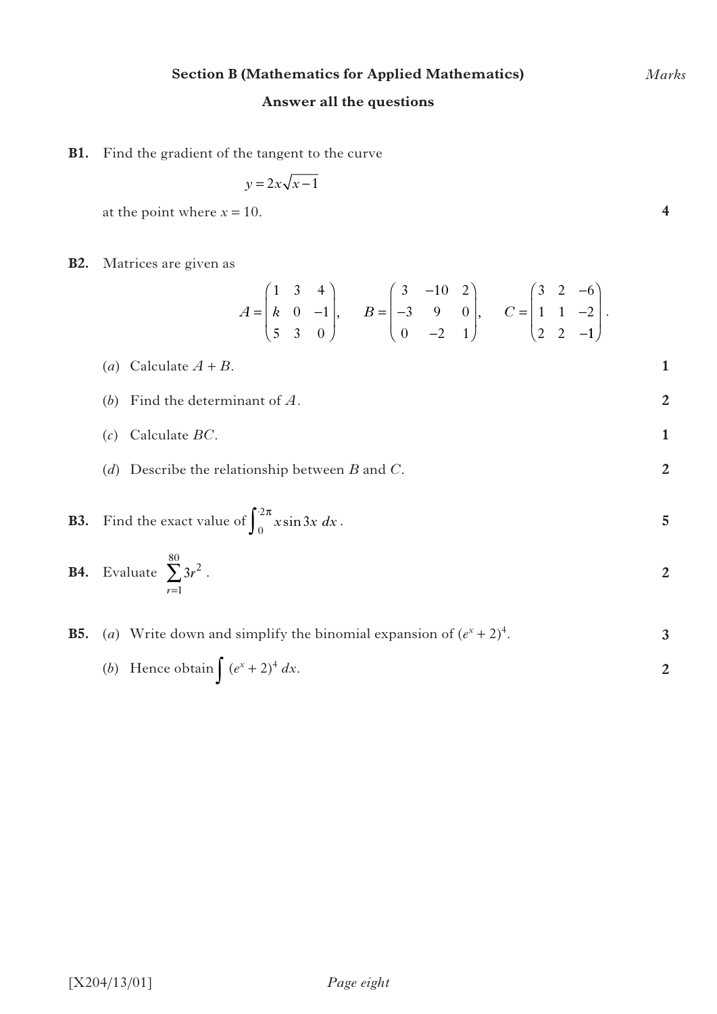# **Section B (Mathematics for Applied Mathematics)**

# **Answer all the questions**

**B1.** Find the gradient of the tangent to the curve

$$
y = 2x\sqrt{x-1}
$$

at the point where  $x = 10$ .

# **B2.** Matrices are given as

$$
A = \begin{pmatrix} 1 & 3 & 4 \\ k & 0 & -1 \\ 5 & 3 & 0 \end{pmatrix}, \qquad B = \begin{pmatrix} 3 & -10 & 2 \\ -3 & 9 & 0 \\ 0 & -2 & 1 \end{pmatrix}, \qquad C = \begin{pmatrix} 3 & 2 & -6 \\ 1 & 1 & -2 \\ 2 & 2 & -1 \end{pmatrix}.
$$

\n- (a) Calculate 
$$
A + B
$$
.
\n- (b) Find the determinant of  $A$ .
\n- (c) Calculate  $BC$ .
\n- (d) Describe the relationship between  $B$  and  $C$ .
\n- **B3.** Find the exact value of  $\int_{0}^{2\pi} x \sin 3x \, dx$ .
\n

**B4.** Evaluate 
$$
\sum_{r=1}^{80} 3r^2
$$
.

**B5.** (a) Write down and simplify the binomial expansion of 
$$
(e^x + 2)^4
$$
.

(b) Hence obtain 
$$
\int (e^x + 2)^4 dx.
$$

*Marks*